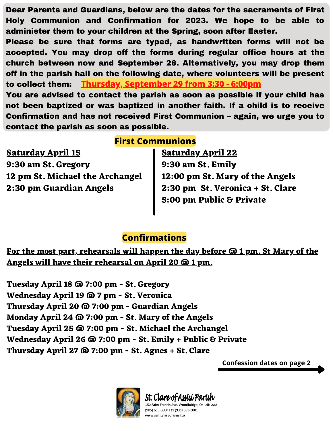Dear Parents and Guardians, below are the dates for the sacraments of First Holy Communion and Confirmation for 2023. We hope to be able to administer them to your children at the Spring, soon after Easter.

Please be sure that forms are typed, as handwritten forms will not be accepted. You may drop off the forms during regular office hours at the church between now and September 28. Alternatively, you may drop them off in the parish hall on the following date, where volunteers will be present to collect them: You are advised to contact the parish as soon as possible if your child has **Thursday, September 29 from 3:30 - 6:00pm**

not been baptized or was baptized in another faith. If a child is to receive Confirmation and has not received First Communion – again, we urge you to contact the parish as soon as possible.

## **First Communions**

**Saturday April 15 9:30 am St. Gregory 12 pm St. Michael the Archangel 2:30 pm Guardian Angels**

**Saturday April 22 9:30 am St. Emily 12:00 pm St. Mary of the Angels 2:30 pm St. Veronica + St. Clare 5:00 pm Public & Private**

## **Confirmations**

**For the most part, rehearsals will happen the day before @ 1 pm. St Mary of the Angels will have their rehearsal on April 20 @ 1 pm.**

**Tuesday April 18 @ 7:00 pm - St. Gregory Wednesday April 19 @ 7 pm - St. Veronica Thursday April 20 @ 7:00 pm - Guardian Angels Monday April 24 @ 7:00 pm - St. Mary of the Angels Tuesday April 25 @ 7:00 pm - St. Michael the Archangel Wednesday April 26 @ 7:00 pm - St. Emily + Public & Private Thursday April 27 @ 7:00 pm - St. Agnes + St. Clare**

**Confession dates on page 2**



St. Clare of Assisi⁄Parish 50 Saint Francis Ave, Woodbridge, On L4H 2A2 (905) 653-8000 Fax (905) 653-8001

www.saintclareofassisi.ca